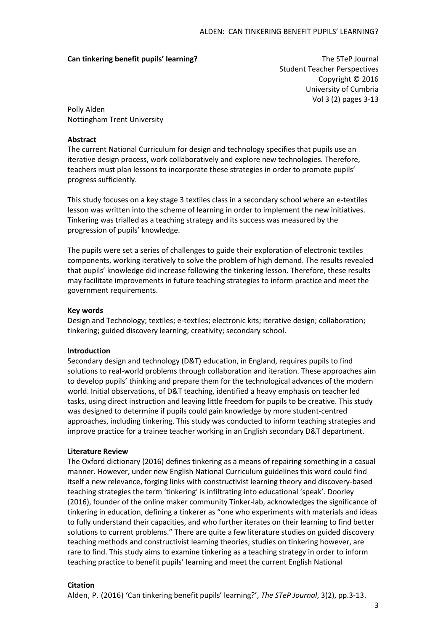## **Can tinkering benefit pupils' learning?** The STeP Journal

Student Teacher Perspectives Copyright © 2016 University of Cumbria Vol 3 (2) pages 3-13

Polly Alden Nottingham Trent University

# **Abstract**

The current National Curriculum for design and technology specifies that pupils use an iterative design process, work collaboratively and explore new technologies. Therefore, teachers must plan lessons to incorporate these strategies in order to promote pupils' progress sufficiently.

This study focuses on a key stage 3 textiles class in a secondary school where an e-textiles lesson was written into the scheme of learning in order to implement the new initiatives. Tinkering was trialled as a teaching strategy and its success was measured by the progression of pupils' knowledge.

The pupils were set a series of challenges to guide their exploration of electronic textiles components, working iteratively to solve the problem of high demand. The results revealed that pupils' knowledge did increase following the tinkering lesson. Therefore, these results may facilitate improvements in future teaching strategies to inform practice and meet the government requirements.

# **Key words**

Design and Technology; textiles; e-textiles; electronic kits; iterative design; collaboration; tinkering; guided discovery learning; creativity; secondary school.

## **Introduction**

Secondary design and technology (D&T) education, in England, requires pupils to find solutions to real-world problems through collaboration and iteration. These approaches aim to develop pupils' thinking and prepare them for the technological advances of the modern world. Initial observations, of D&T teaching, identified a heavy emphasis on teacher led tasks, using direct instruction and leaving little freedom for pupils to be creative. This study was designed to determine if pupils could gain knowledge by more student-centred approaches, including tinkering. This study was conducted to inform teaching strategies and improve practice for a trainee teacher working in an English secondary D&T department.

## **Literature Review**

The Oxford dictionary (2016) defines tinkering as a means of repairing something in a casual manner. However, under new English National Curriculum guidelines this word could find itself a new relevance, forging links with constructivist learning theory and discovery-based teaching strategies the term 'tinkering' is infiltrating into educational 'speak'. Doorley (2016), founder of the online maker community Tinker-lab, acknowledges the significance of tinkering in education, defining a tinkerer as "one who experiments with materials and ideas to fully understand their capacities, and who further iterates on their learning to find better solutions to current problems." There are quite a few literature studies on guided discovery teaching methods and constructivist learning theories; studies on tinkering however, are rare to find. This study aims to examine tinkering as a teaching strategy in order to inform teaching practice to benefit pupils' learning and meet the current English National

## **Citation**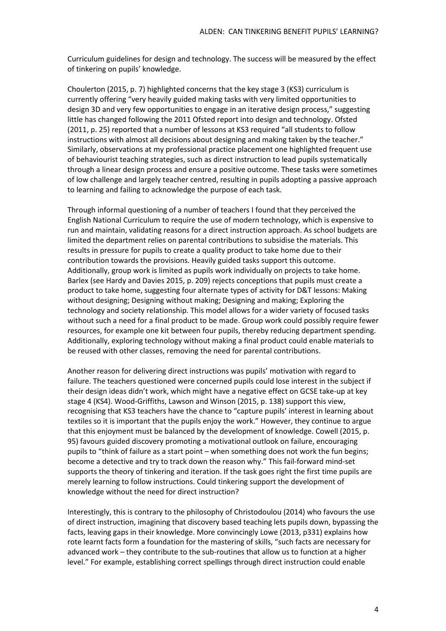Curriculum guidelines for design and technology. The success will be measured by the effect of tinkering on pupils' knowledge.

Choulerton (2015, p. 7) highlighted concerns that the key stage 3 (KS3) curriculum is currently offering "very heavily guided making tasks with very limited opportunities to design 3D and very few opportunities to engage in an iterative design process," suggesting little has changed following the 2011 Ofsted report into design and technology. Ofsted (2011, p. 25) reported that a number of lessons at KS3 required "all students to follow instructions with almost all decisions about designing and making taken by the teacher." Similarly, observations at my professional practice placement one highlighted frequent use of behaviourist teaching strategies, such as direct instruction to lead pupils systematically through a linear design process and ensure a positive outcome. These tasks were sometimes of low challenge and largely teacher centred, resulting in pupils adopting a passive approach to learning and failing to acknowledge the purpose of each task.

Through informal questioning of a number of teachers I found that they perceived the English National Curriculum to require the use of modern technology, which is expensive to run and maintain, validating reasons for a direct instruction approach. As school budgets are limited the department relies on parental contributions to subsidise the materials. This results in pressure for pupils to create a quality product to take home due to their contribution towards the provisions. Heavily guided tasks support this outcome. Additionally, group work is limited as pupils work individually on projects to take home. Barlex (see Hardy and Davies 2015, p. 209) rejects conceptions that pupils must create a product to take home, suggesting four alternate types of activity for D&T lessons: Making without designing; Designing without making; Designing and making; Exploring the technology and society relationship. This model allows for a wider variety of focused tasks without such a need for a final product to be made. Group work could possibly require fewer resources, for example one kit between four pupils, thereby reducing department spending. Additionally, exploring technology without making a final product could enable materials to be reused with other classes, removing the need for parental contributions.

Another reason for delivering direct instructions was pupils' motivation with regard to failure. The teachers questioned were concerned pupils could lose interest in the subject if their design ideas didn't work, which might have a negative effect on GCSE take-up at key stage 4 (KS4). Wood-Griffiths, Lawson and Winson (2015, p. 138) support this view, recognising that KS3 teachers have the chance to "capture pupils' interest in learning about textiles so it is important that the pupils enjoy the work." However, they continue to argue that this enjoyment must be balanced by the development of knowledge. Cowell (2015, p. 95) favours guided discovery promoting a motivational outlook on failure, encouraging pupils to "think of failure as a start point – when something does not work the fun begins; become a detective and try to track down the reason why." This fail-forward mind-set supports the theory of tinkering and iteration. If the task goes right the first time pupils are merely learning to follow instructions. Could tinkering support the development of knowledge without the need for direct instruction?

Interestingly, this is contrary to the philosophy of Christodoulou (2014) who favours the use of direct instruction, imagining that discovery based teaching lets pupils down, bypassing the facts, leaving gaps in their knowledge. More convincingly Lowe (2013, p331) explains how rote learnt facts form a foundation for the mastering of skills, "such facts are necessary for advanced work – they contribute to the sub-routines that allow us to function at a higher level." For example, establishing correct spellings through direct instruction could enable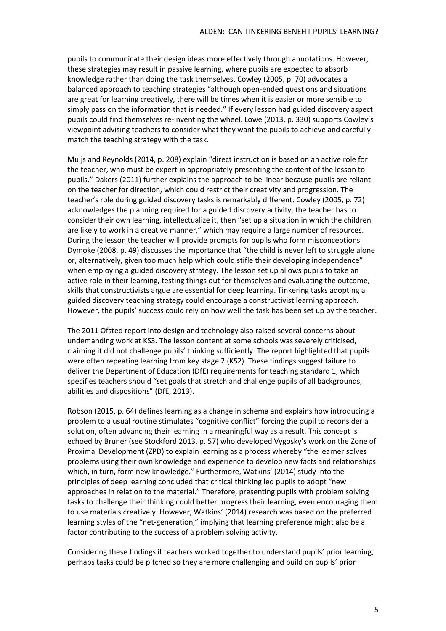pupils to communicate their design ideas more effectively through annotations. However, these strategies may result in passive learning, where pupils are expected to absorb knowledge rather than doing the task themselves. Cowley (2005, p. 70) advocates a balanced approach to teaching strategies "although open-ended questions and situations are great for learning creatively, there will be times when it is easier or more sensible to simply pass on the information that is needed." If every lesson had guided discovery aspect pupils could find themselves re-inventing the wheel. Lowe (2013, p. 330) supports Cowley's viewpoint advising teachers to consider what they want the pupils to achieve and carefully match the teaching strategy with the task.

Muijs and Reynolds (2014, p. 208) explain "direct instruction is based on an active role for the teacher, who must be expert in appropriately presenting the content of the lesson to pupils." Dakers (2011) further explains the approach to be linear because pupils are reliant on the teacher for direction, which could restrict their creativity and progression. The teacher's role during guided discovery tasks is remarkably different. Cowley (2005, p. 72) acknowledges the planning required for a guided discovery activity, the teacher has to consider their own learning, intellectualize it, then "set up a situation in which the children are likely to work in a creative manner," which may require a large number of resources. During the lesson the teacher will provide prompts for pupils who form misconceptions. Dymoke (2008, p. 49) discusses the importance that "the child is never left to struggle alone or, alternatively, given too much help which could stifle their developing independence" when employing a guided discovery strategy. The lesson set up allows pupils to take an active role in their learning, testing things out for themselves and evaluating the outcome, skills that constructivists argue are essential for deep learning. Tinkering tasks adopting a guided discovery teaching strategy could encourage a constructivist learning approach. However, the pupils' success could rely on how well the task has been set up by the teacher.

The 2011 Ofsted report into design and technology also raised several concerns about undemanding work at KS3. The lesson content at some schools was severely criticised, claiming it did not challenge pupils' thinking sufficiently. The report highlighted that pupils were often repeating learning from key stage 2 (KS2). These findings suggest failure to deliver the Department of Education (DfE) requirements for teaching standard 1, which specifies teachers should "set goals that stretch and challenge pupils of all backgrounds, abilities and dispositions" (DfE, 2013).

Robson (2015, p. 64) defines learning as a change in schema and explains how introducing a problem to a usual routine stimulates "cognitive conflict" forcing the pupil to reconsider a solution, often advancing their learning in a meaningful way as a result. This concept is echoed by Bruner (see Stockford 2013, p. 57) who developed Vygosky's work on the Zone of Proximal Development (ZPD) to explain learning as a process whereby "the learner solves problems using their own knowledge and experience to develop new facts and relationships which, in turn, form new knowledge." Furthermore, Watkins' (2014) study into the principles of deep learning concluded that critical thinking led pupils to adopt "new approaches in relation to the material." Therefore, presenting pupils with problem solving tasks to challenge their thinking could better progress their learning, even encouraging them to use materials creatively. However, Watkins' (2014) research was based on the preferred learning styles of the "net-generation," implying that learning preference might also be a factor contributing to the success of a problem solving activity.

Considering these findings if teachers worked together to understand pupils' prior learning, perhaps tasks could be pitched so they are more challenging and build on pupils' prior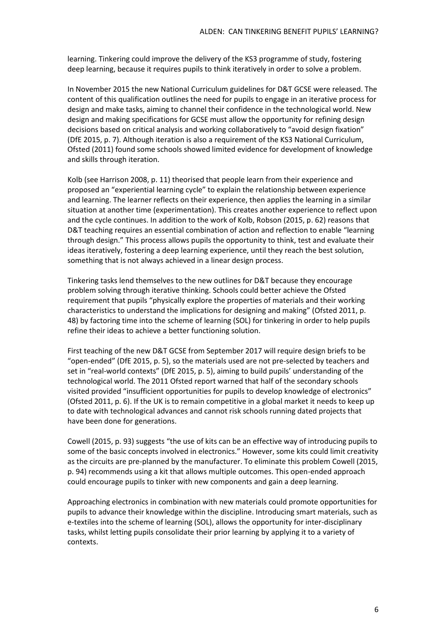learning. Tinkering could improve the delivery of the KS3 programme of study, fostering deep learning, because it requires pupils to think iteratively in order to solve a problem.

In November 2015 the new National Curriculum guidelines for D&T GCSE were released. The content of this qualification outlines the need for pupils to engage in an iterative process for design and make tasks, aiming to channel their confidence in the technological world. New design and making specifications for GCSE must allow the opportunity for refining design decisions based on critical analysis and working collaboratively to "avoid design fixation" (DfE 2015, p. 7). Although iteration is also a requirement of the KS3 National Curriculum, Ofsted (2011) found some schools showed limited evidence for development of knowledge and skills through iteration.

Kolb (see Harrison 2008, p. 11) theorised that people learn from their experience and proposed an "experiential learning cycle" to explain the relationship between experience and learning. The learner reflects on their experience, then applies the learning in a similar situation at another time (experimentation). This creates another experience to reflect upon and the cycle continues. In addition to the work of Kolb, Robson (2015, p. 62) reasons that D&T teaching requires an essential combination of action and reflection to enable "learning through design." This process allows pupils the opportunity to think, test and evaluate their ideas iteratively, fostering a deep learning experience, until they reach the best solution, something that is not always achieved in a linear design process.

Tinkering tasks lend themselves to the new outlines for D&T because they encourage problem solving through iterative thinking. Schools could better achieve the Ofsted requirement that pupils "physically explore the properties of materials and their working characteristics to understand the implications for designing and making" (Ofsted 2011, p. 48) by factoring time into the scheme of learning (SOL) for tinkering in order to help pupils refine their ideas to achieve a better functioning solution.

First teaching of the new D&T GCSE from September 2017 will require design briefs to be "open-ended" (DfE 2015, p. 5), so the materials used are not pre-selected by teachers and set in "real-world contexts" (DfE 2015, p. 5), aiming to build pupils' understanding of the technological world. The 2011 Ofsted report warned that half of the secondary schools visited provided "insufficient opportunities for pupils to develop knowledge of electronics" (Ofsted 2011, p. 6). If the UK is to remain competitive in a global market it needs to keep up to date with technological advances and cannot risk schools running dated projects that have been done for generations.

Cowell (2015, p. 93) suggests "the use of kits can be an effective way of introducing pupils to some of the basic concepts involved in electronics." However, some kits could limit creativity as the circuits are pre-planned by the manufacturer. To eliminate this problem Cowell (2015, p. 94) recommends using a kit that allows multiple outcomes. This open-ended approach could encourage pupils to tinker with new components and gain a deep learning.

Approaching electronics in combination with new materials could promote opportunities for pupils to advance their knowledge within the discipline. Introducing smart materials, such as e-textiles into the scheme of learning (SOL), allows the opportunity for inter-disciplinary tasks, whilst letting pupils consolidate their prior learning by applying it to a variety of contexts.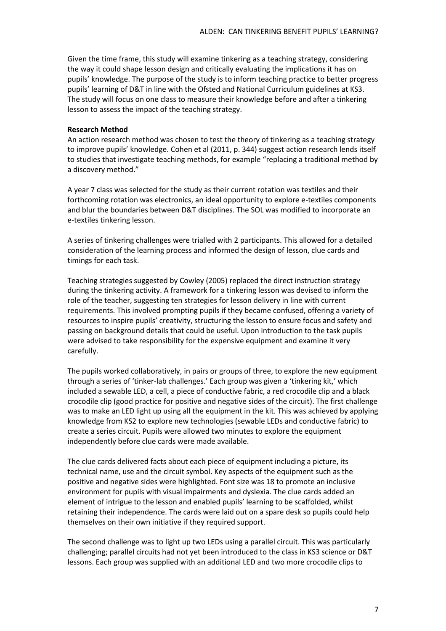Given the time frame, this study will examine tinkering as a teaching strategy, considering the way it could shape lesson design and critically evaluating the implications it has on pupils' knowledge. The purpose of the study is to inform teaching practice to better progress pupils' learning of D&T in line with the Ofsted and National Curriculum guidelines at KS3. The study will focus on one class to measure their knowledge before and after a tinkering lesson to assess the impact of the teaching strategy.

## **Research Method**

An action research method was chosen to test the theory of tinkering as a teaching strategy to improve pupils' knowledge. Cohen et al (2011, p. 344) suggest action research lends itself to studies that investigate teaching methods, for example "replacing a traditional method by a discovery method."

A year 7 class was selected for the study as their current rotation was textiles and their forthcoming rotation was electronics, an ideal opportunity to explore e-textiles components and blur the boundaries between D&T disciplines. The SOL was modified to incorporate an e-textiles tinkering lesson.

A series of tinkering challenges were trialled with 2 participants. This allowed for a detailed consideration of the learning process and informed the design of lesson, clue cards and timings for each task.

Teaching strategies suggested by Cowley (2005) replaced the direct instruction strategy during the tinkering activity. A framework for a tinkering lesson was devised to inform the role of the teacher, suggesting ten strategies for lesson delivery in line with current requirements. This involved prompting pupils if they became confused, offering a variety of resources to inspire pupils' creativity, structuring the lesson to ensure focus and safety and passing on background details that could be useful. Upon introduction to the task pupils were advised to take responsibility for the expensive equipment and examine it very carefully.

The pupils worked collaboratively, in pairs or groups of three, to explore the new equipment through a series of 'tinker-lab challenges.' Each group was given a 'tinkering kit,' which included a sewable LED, a cell, a piece of conductive fabric, a red crocodile clip and a black crocodile clip (good practice for positive and negative sides of the circuit). The first challenge was to make an LED light up using all the equipment in the kit. This was achieved by applying knowledge from KS2 to explore new technologies (sewable LEDs and conductive fabric) to create a series circuit. Pupils were allowed two minutes to explore the equipment independently before clue cards were made available.

The clue cards delivered facts about each piece of equipment including a picture, its technical name, use and the circuit symbol. Key aspects of the equipment such as the positive and negative sides were highlighted. Font size was 18 to promote an inclusive environment for pupils with visual impairments and dyslexia. The clue cards added an element of intrigue to the lesson and enabled pupils' learning to be scaffolded, whilst retaining their independence. The cards were laid out on a spare desk so pupils could help themselves on their own initiative if they required support.

The second challenge was to light up two LEDs using a parallel circuit. This was particularly challenging; parallel circuits had not yet been introduced to the class in KS3 science or D&T lessons. Each group was supplied with an additional LED and two more crocodile clips to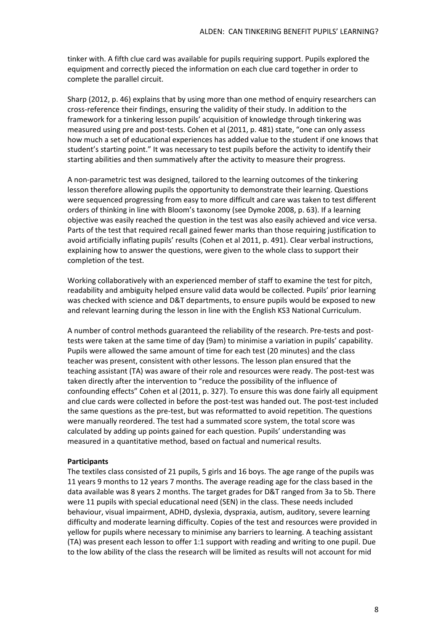tinker with. A fifth clue card was available for pupils requiring support. Pupils explored the equipment and correctly pieced the information on each clue card together in order to complete the parallel circuit.

Sharp (2012, p. 46) explains that by using more than one method of enquiry researchers can cross-reference their findings, ensuring the validity of their study. In addition to the framework for a tinkering lesson pupils' acquisition of knowledge through tinkering was measured using pre and post-tests. Cohen et al (2011, p. 481) state, "one can only assess how much a set of educational experiences has added value to the student if one knows that student's starting point." It was necessary to test pupils before the activity to identify their starting abilities and then summatively after the activity to measure their progress.

A non-parametric test was designed, tailored to the learning outcomes of the tinkering lesson therefore allowing pupils the opportunity to demonstrate their learning. Questions were sequenced progressing from easy to more difficult and care was taken to test different orders of thinking in line with Bloom's taxonomy (see Dymoke 2008, p. 63). If a learning objective was easily reached the question in the test was also easily achieved and vice versa. Parts of the test that required recall gained fewer marks than those requiring justification to avoid artificially inflating pupils' results (Cohen et al 2011, p. 491). Clear verbal instructions, explaining how to answer the questions, were given to the whole class to support their completion of the test.

Working collaboratively with an experienced member of staff to examine the test for pitch, readability and ambiguity helped ensure valid data would be collected. Pupils' prior learning was checked with science and D&T departments, to ensure pupils would be exposed to new and relevant learning during the lesson in line with the English KS3 National Curriculum.

A number of control methods guaranteed the reliability of the research. Pre-tests and posttests were taken at the same time of day (9am) to minimise a variation in pupils' capability. Pupils were allowed the same amount of time for each test (20 minutes) and the class teacher was present, consistent with other lessons. The lesson plan ensured that the teaching assistant (TA) was aware of their role and resources were ready. The post-test was taken directly after the intervention to "reduce the possibility of the influence of confounding effects" Cohen et al (2011, p. 327). To ensure this was done fairly all equipment and clue cards were collected in before the post-test was handed out. The post-test included the same questions as the pre-test, but was reformatted to avoid repetition. The questions were manually reordered. The test had a summated score system, the total score was calculated by adding up points gained for each question. Pupils' understanding was measured in a quantitative method, based on factual and numerical results.

# **Participants**

The textiles class consisted of 21 pupils, 5 girls and 16 boys. The age range of the pupils was 11 years 9 months to 12 years 7 months. The average reading age for the class based in the data available was 8 years 2 months. The target grades for D&T ranged from 3a to 5b. There were 11 pupils with special educational need (SEN) in the class. These needs included behaviour, visual impairment, ADHD, dyslexia, dyspraxia, autism, auditory, severe learning difficulty and moderate learning difficulty. Copies of the test and resources were provided in yellow for pupils where necessary to minimise any barriers to learning. A teaching assistant (TA) was present each lesson to offer 1:1 support with reading and writing to one pupil. Due to the low ability of the class the research will be limited as results will not account for mid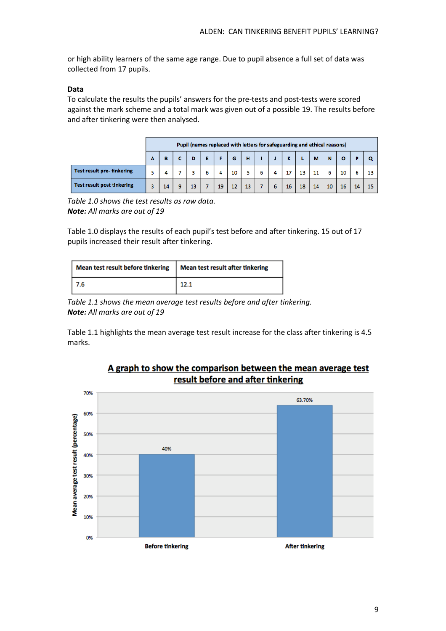or high ability learners of the same age range. Due to pupil absence a full set of data was collected from 17 pupils.

# **Data**

To calculate the results the pupils' answers for the pre-tests and post-tests were scored against the mark scheme and a total mark was given out of a possible 19. The results before and after tinkering were then analysed.

|                                   | Pupil (names replaced with letters for safeguarding and ethical reasons) |    |  |    |  |    |    |    |  |    |    |    |    |    |    |  |
|-----------------------------------|--------------------------------------------------------------------------|----|--|----|--|----|----|----|--|----|----|----|----|----|----|--|
|                                   | А                                                                        |    |  |    |  |    | G  | н  |  |    |    | М  |    |    |    |  |
| <b>Test result pre-tinkering</b>  |                                                                          |    |  |    |  |    | 10 |    |  |    | 13 |    |    | 10 |    |  |
| <b>Test result post tinkering</b> |                                                                          | 14 |  | 13 |  | 19 | 12 | 13 |  | 16 | 18 | 14 | 10 | 16 | 14 |  |

*Table 1.0 shows the test results as raw data. Note: All marks are out of 19* 

Table 1.0 displays the results of each pupil's test before and after tinkering. 15 out of 17 pupils increased their result after tinkering.

| Mean test result before tinkering | <b>Mean test result after tinkering</b> |  |  |  |  |  |
|-----------------------------------|-----------------------------------------|--|--|--|--|--|
| l 7.6                             | 12.1                                    |  |  |  |  |  |

*Table 1.1 shows the mean average test results before and after tinkering. Note: All marks are out of 19* 

Table 1.1 highlights the mean average test result increase for the class after tinkering is 4.5 marks.



# A graph to show the comparison between the mean average test result before and after tinkering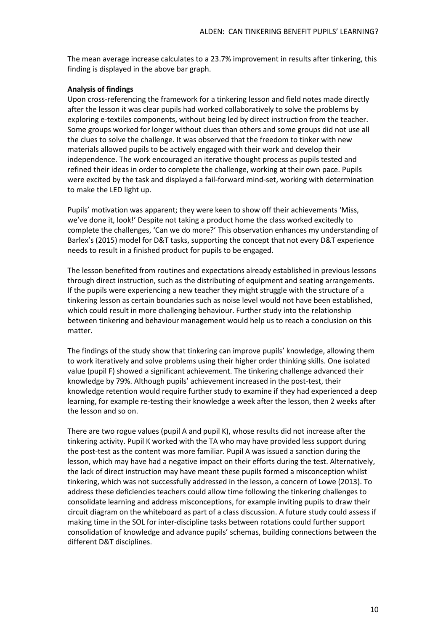The mean average increase calculates to a 23.7% improvement in results after tinkering, this finding is displayed in the above bar graph.

## **Analysis of findings**

Upon cross-referencing the framework for a tinkering lesson and field notes made directly after the lesson it was clear pupils had worked collaboratively to solve the problems by exploring e-textiles components, without being led by direct instruction from the teacher. Some groups worked for longer without clues than others and some groups did not use all the clues to solve the challenge. It was observed that the freedom to tinker with new materials allowed pupils to be actively engaged with their work and develop their independence. The work encouraged an iterative thought process as pupils tested and refined their ideas in order to complete the challenge, working at their own pace. Pupils were excited by the task and displayed a fail-forward mind-set, working with determination to make the LED light up.

Pupils' motivation was apparent; they were keen to show off their achievements 'Miss, we've done it, look!' Despite not taking a product home the class worked excitedly to complete the challenges, 'Can we do more?' This observation enhances my understanding of Barlex's (2015) model for D&T tasks, supporting the concept that not every D&T experience needs to result in a finished product for pupils to be engaged.

The lesson benefited from routines and expectations already established in previous lessons through direct instruction, such as the distributing of equipment and seating arrangements. If the pupils were experiencing a new teacher they might struggle with the structure of a tinkering lesson as certain boundaries such as noise level would not have been established, which could result in more challenging behaviour. Further study into the relationship between tinkering and behaviour management would help us to reach a conclusion on this matter.

The findings of the study show that tinkering can improve pupils' knowledge, allowing them to work iteratively and solve problems using their higher order thinking skills. One isolated value (pupil F) showed a significant achievement. The tinkering challenge advanced their knowledge by 79%. Although pupils' achievement increased in the post-test, their knowledge retention would require further study to examine if they had experienced a deep learning, for example re-testing their knowledge a week after the lesson, then 2 weeks after the lesson and so on.

There are two rogue values (pupil A and pupil K), whose results did not increase after the tinkering activity. Pupil K worked with the TA who may have provided less support during the post-test as the content was more familiar. Pupil A was issued a sanction during the lesson, which may have had a negative impact on their efforts during the test. Alternatively, the lack of direct instruction may have meant these pupils formed a misconception whilst tinkering, which was not successfully addressed in the lesson, a concern of Lowe (2013). To address these deficiencies teachers could allow time following the tinkering challenges to consolidate learning and address misconceptions, for example inviting pupils to draw their circuit diagram on the whiteboard as part of a class discussion. A future study could assess if making time in the SOL for inter-discipline tasks between rotations could further support consolidation of knowledge and advance pupils' schemas, building connections between the different D&T disciplines.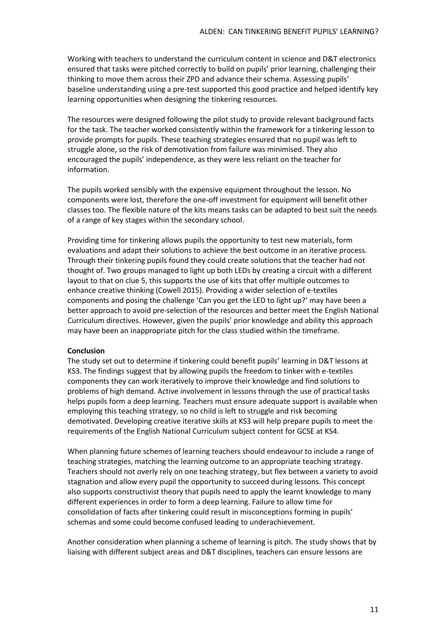Working with teachers to understand the curriculum content in science and D&T electronics ensured that tasks were pitched correctly to build on pupils' prior learning, challenging their thinking to move them across their ZPD and advance their schema. Assessing pupils' baseline understanding using a pre-test supported this good practice and helped identify key learning opportunities when designing the tinkering resources.

The resources were designed following the pilot study to provide relevant background facts for the task. The teacher worked consistently within the framework for a tinkering lesson to provide prompts for pupils. These teaching strategies ensured that no pupil was left to struggle alone, so the risk of demotivation from failure was minimised. They also encouraged the pupils' independence, as they were less reliant on the teacher for information.

The pupils worked sensibly with the expensive equipment throughout the lesson. No components were lost, therefore the one-off investment for equipment will benefit other classes too. The flexible nature of the kits means tasks can be adapted to best suit the needs of a range of key stages within the secondary school.

Providing time for tinkering allows pupils the opportunity to test new materials, form evaluations and adapt their solutions to achieve the best outcome in an iterative process. Through their tinkering pupils found they could create solutions that the teacher had not thought of. Two groups managed to light up both LEDs by creating a circuit with a different layout to that on clue 5, this supports the use of kits that offer multiple outcomes to enhance creative thinking (Cowell 2015). Providing a wider selection of e-textiles components and posing the challenge 'Can you get the LED to light up?' may have been a better approach to avoid pre-selection of the resources and better meet the English National Curriculum directives. However, given the pupils' prior knowledge and ability this approach may have been an inappropriate pitch for the class studied within the timeframe.

## **Conclusion**

The study set out to determine if tinkering could benefit pupils' learning in D&T lessons at KS3. The findings suggest that by allowing pupils the freedom to tinker with e-textiles components they can work iteratively to improve their knowledge and find solutions to problems of high demand. Active involvement in lessons through the use of practical tasks helps pupils form a deep learning. Teachers must ensure adequate support is available when employing this teaching strategy, so no child is left to struggle and risk becoming demotivated. Developing creative iterative skills at KS3 will help prepare pupils to meet the requirements of the English National Curriculum subject content for GCSE at KS4.

When planning future schemes of learning teachers should endeavour to include a range of teaching strategies, matching the learning outcome to an appropriate teaching strategy. Teachers should not overly rely on one teaching strategy, but flex between a variety to avoid stagnation and allow every pupil the opportunity to succeed during lessons. This concept also supports constructivist theory that pupils need to apply the learnt knowledge to many different experiences in order to form a deep learning. Failure to allow time for consolidation of facts after tinkering could result in misconceptions forming in pupils' schemas and some could become confused leading to underachievement.

Another consideration when planning a scheme of learning is pitch. The study shows that by liaising with different subject areas and D&T disciplines, teachers can ensure lessons are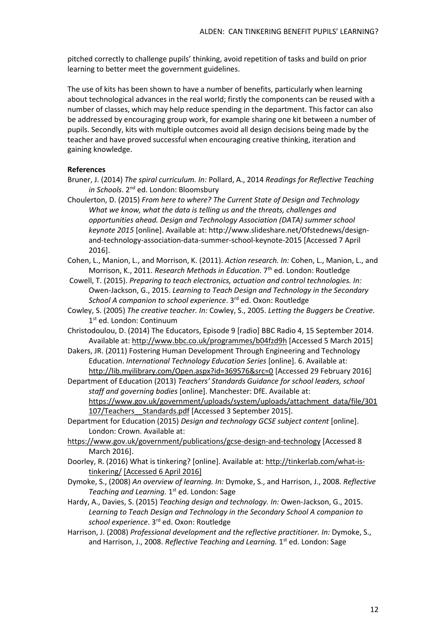pitched correctly to challenge pupils' thinking, avoid repetition of tasks and build on prior learning to better meet the government guidelines.

The use of kits has been shown to have a number of benefits, particularly when learning about technological advances in the real world; firstly the components can be reused with a number of classes, which may help reduce spending in the department. This factor can also be addressed by encouraging group work, for example sharing one kit between a number of pupils. Secondly, kits with multiple outcomes avoid all design decisions being made by the teacher and have proved successful when encouraging creative thinking, iteration and gaining knowledge.

# **References**

- Bruner, J. (2014) *The spiral curriculum. In:* Pollard, A., 2014 *Readings for Reflective Teaching in Schools*. 2<sup>nd</sup> ed. London: Bloomsbury
- Choulerton, D. (2015) *From here to where? The Current State of Design and Technology What we know, what the data is telling us and the threats, challenges and opportunities ahead. Design and Technology Association (DATA) summer school keynote 2015* [online]. Available at[: http://www.slideshare.net/Ofstednews/design](http://www.slideshare.net/Ofstednews/design-and-technology-association-data-summer-school-keynote-2015)[and-technology-association-data-summer-school-keynote-2015](http://www.slideshare.net/Ofstednews/design-and-technology-association-data-summer-school-keynote-2015) [Accessed 7 April 2016].
- Cohen, L., Manion, L., and Morrison, K. (2011). *Action research. In:* Cohen, L., Manion, L., and Morrison, K., 2011. *Research Methods in Education*. 7<sup>th</sup> ed. London: Routledge
- Cowell, T. (2015). *Preparing to teach electronics, actuation and control technologies. In:*  Owen-Jackson, G., 2015. *Learning to Teach Design and Technology in the Secondary School A companion to school experience*. 3rd ed. Oxon: Routledge
- Cowley, S. (2005) *The creative teacher. In:* Cowley, S., 2005. *Letting the Buggers be Creative.* 1st ed. London: Continuum

Christodoulou, D. (2014) The Educators, Episode 9 [radio] BBC Radio 4, 15 September 2014. Available at:<http://www.bbc.co.uk/programmes/b04fzd9h> [Accessed 5 March 2015]

- Dakers, JR. (2011) Fostering Human Development Through Engineering and Technology Education. *International Technology Education Series* [online]. 6. Available at: <http://lib.myilibrary.com/Open.aspx?id=369576&src=0> [Accessed 29 February 2016]
- Department of Education (2013) *Teachers' Standards Guidance for school leaders, school staff and governing bodies* [online]. Manchester: DfE. Available at: [https://www.gov.uk/government/uploads/system/uploads/attachment\\_data/file/301](https://www.gov.uk/government/uploads/system/uploads/attachment_data/file/301107/Teachers__Standards.pdf) 107/Teachers Standards.pdf [Accessed 3 September 2015].
- Department for Education (2015) *Design and technology GCSE subject content* [online]. London: Crown. Available at:
- <https://www.gov.uk/government/publications/gcse-design-and-technology> [Accessed 8 March 2016].
- Doorley, R. (2016) What is tinkering? [online]. Available at: [http://tinkerlab.com/what-is](http://tinkerlab.com/what-is-tinkering/)[tinkering/](http://tinkerlab.com/what-is-tinkering/) [Accessed 6 April 2016]
- Dymoke, S., (2008) *An overview of learning. In:* Dymoke, S., and Harrison, J., 2008. *Reflective*  Teaching and Learning. 1st ed. London: Sage
- Hardy, A., Davies, S. (2015) *Teaching design and technology. In:* Owen-Jackson, G., 2015. *Learning to Teach Design and Technology in the Secondary School A companion to school experience*. 3rd ed. Oxon: Routledge
- Harrison, J. (2008) *Professional development and the reflective practitioner. In:* Dymoke, S., and Harrison, J., 2008. Reflective Teaching and Learning. 1<sup>st</sup> ed. London: Sage